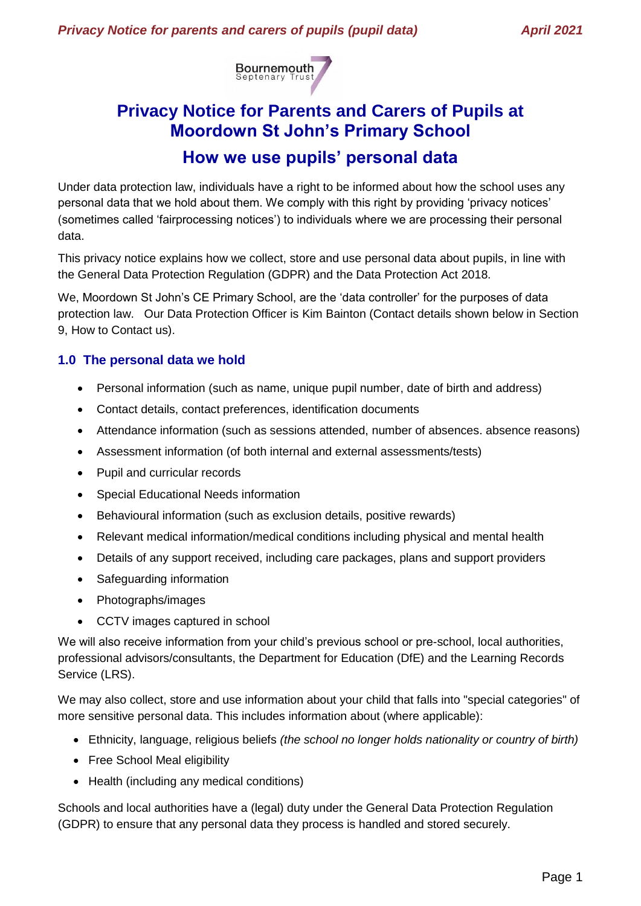

# **Privacy Notice for Parents and Carers of Pupils at Moordown St John's Primary School**

## **How we use pupils' personal data**

Under data protection law, individuals have a right to be informed about how the school uses any personal data that we hold about them. We comply with this right by providing 'privacy notices' (sometimes called 'fairprocessing notices') to individuals where we are processing their personal data.

This privacy notice explains how we collect, store and use personal data about pupils, in line with the General Data Protection Regulation (GDPR) and the Data Protection Act 2018.

We, Moordown St John's CE Primary School, are the 'data controller' for the purposes of data protection law. Our Data Protection Officer is Kim Bainton (Contact details shown below in Section 9, How to Contact us).

## **1.0 The personal data we hold**

- Personal information (such as name, unique pupil number, date of birth and address)
- Contact details, contact preferences, identification documents
- Attendance information (such as sessions attended, number of absences. absence reasons)
- Assessment information (of both internal and external assessments/tests)
- Pupil and curricular records
- Special Educational Needs information
- Behavioural information (such as exclusion details, positive rewards)
- Relevant medical information/medical conditions including physical and mental health
- Details of any support received, including care packages, plans and support providers
- Safeguarding information
- Photographs/images
- CCTV images captured in school

We will also receive information from your child's previous school or pre-school, local authorities, professional advisors/consultants, the Department for Education (DfE) and the Learning Records Service (LRS).

We may also collect, store and use information about your child that falls into "special categories" of more sensitive personal data. This includes information about (where applicable):

- Ethnicity, language, religious beliefs *(the school no longer holds nationality or country of birth)*
- Free School Meal eligibility
- Health (including any medical conditions)

Schools and local authorities have a (legal) duty under the General Data Protection Regulation (GDPR) to ensure that any personal data they process is handled and stored securely.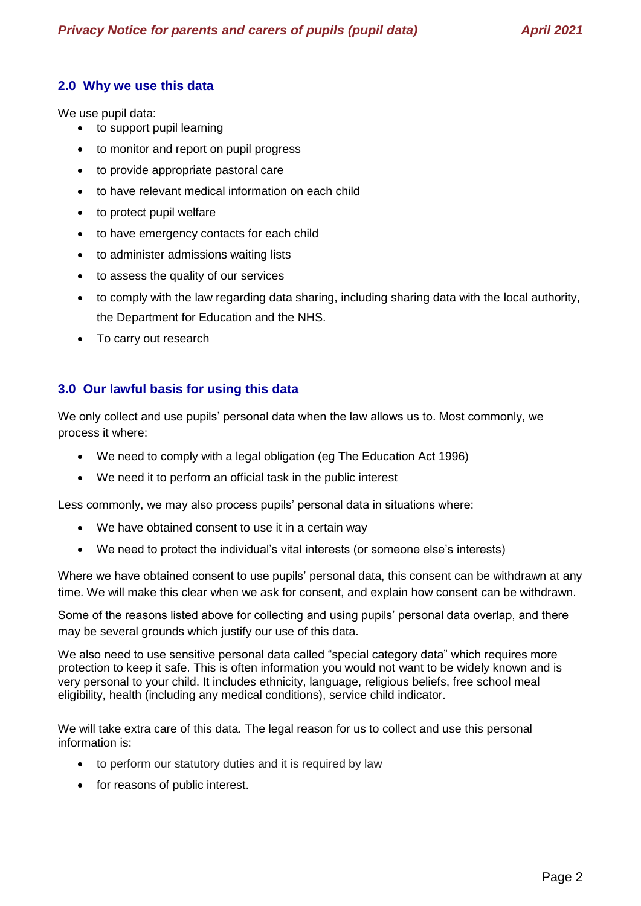## **2.0 Why we use this data**

We use pupil data:

- to support pupil learning
- to monitor and report on pupil progress
- to provide appropriate pastoral care
- to have relevant medical information on each child
- to protect pupil welfare
- to have emergency contacts for each child
- to administer admissions waiting lists
- to assess the quality of our services
- to comply with the law regarding data sharing, including sharing data with the local authority, the Department for Education and the NHS.
- To carry out research

## **3.0 Our lawful basis for using this data**

We only collect and use pupils' personal data when the law allows us to. Most commonly, we process it where:

- We need to comply with a legal obligation (eg The Education Act 1996)
- We need it to perform an official task in the public interest

Less commonly, we may also process pupils' personal data in situations where:

- We have obtained consent to use it in a certain way
- We need to protect the individual's vital interests (or someone else's interests)

Where we have obtained consent to use pupils' personal data, this consent can be withdrawn at any time. We will make this clear when we ask for consent, and explain how consent can be withdrawn.

Some of the reasons listed above for collecting and using pupils' personal data overlap, and there may be several grounds which justify our use of this data.

We also need to use sensitive personal data called "special category data" which requires more protection to keep it safe. This is often information you would not want to be widely known and is very personal to your child. It includes ethnicity, language, religious beliefs, free school meal eligibility, health (including any medical conditions), service child indicator.

We will take extra care of this data. The legal reason for us to collect and use this personal information is:

- to perform our statutory duties and it is required by law
- for reasons of public interest.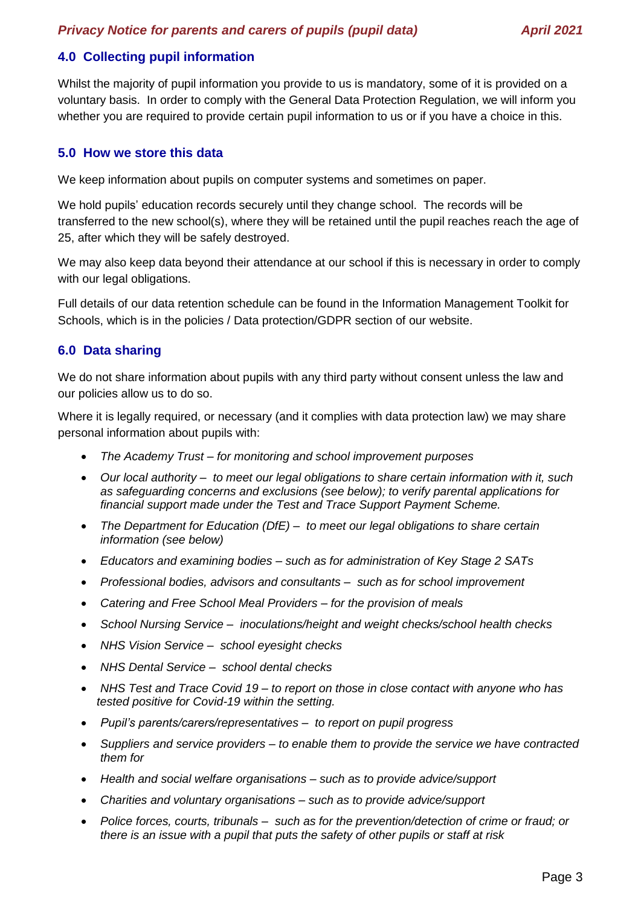## **4.0 Collecting pupil information**

Whilst the majority of pupil information you provide to us is mandatory, some of it is provided on a voluntary basis. In order to comply with the General Data Protection Regulation, we will inform you whether you are required to provide certain pupil information to us or if you have a choice in this.

#### **5.0 How we store this data**

We keep information about pupils on computer systems and sometimes on paper.

We hold pupils' education records securely until they change school. The records will be transferred to the new school(s), where they will be retained until the pupil reaches reach the age of 25, after which they will be safely destroyed.

We may also keep data beyond their attendance at our school if this is necessary in order to comply with our legal obligations.

Full details of our data retention schedule can be found in the Information Management Toolkit for Schools, which is in the policies / Data protection/GDPR section of our website.

#### **6.0 Data sharing**

We do not share information about pupils with any third party without consent unless the law and our policies allow us to do so.

Where it is legally required, or necessary (and it complies with data protection law) we may share personal information about pupils with:

- *The Academy Trust – for monitoring and school improvement purposes*
- *Our local authority – to meet our legal obligations to share certain information with it, such as safeguarding concerns and exclusions (see below); to verify parental applications for financial support made under the Test and Trace Support Payment Scheme.*
- *The Department for Education (DfE) – to meet our legal obligations to share certain information (see below)*
- *Educators and examining bodies – such as for administration of Key Stage 2 SATs*
- *Professional bodies, advisors and consultants such as for school improvement*
- *Catering and Free School Meal Providers – for the provision of meals*
- *School Nursing Service – inoculations/height and weight checks/school health checks*
- *NHS Vision Service – school eyesight checks*
- *NHS Dental Service – school dental checks*
- *NHS Test and Trace Covid 19 – to report on those in close contact with anyone who has tested positive for Covid-19 within the setting.*
- *Pupil's parents/carers/representatives – to report on pupil progress*
- *Suppliers and service providers – to enable them to provide the service we have contracted them for*
- *Health and social welfare organisations – such as to provide advice/support*
- *Charities and voluntary organisations – such as to provide advice/support*
- *Police forces, courts, tribunals such as for the prevention/detection of crime or fraud; or there is an issue with a pupil that puts the safety of other pupils or staff at risk*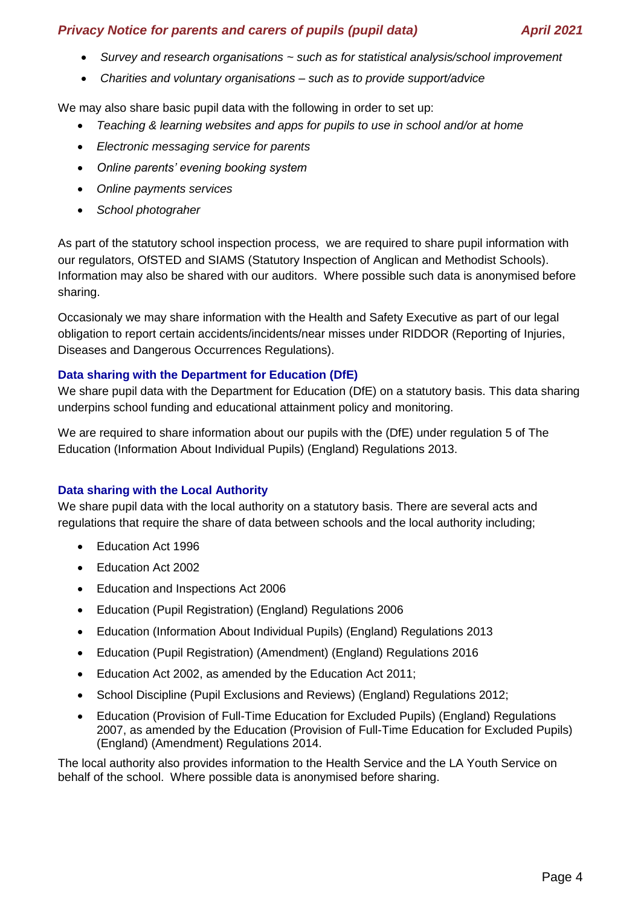- *Survey and research organisations ~ such as for statistical analysis/school improvement*
- *Charities and voluntary organisations – such as to provide support/advice*

We may also share basic pupil data with the following in order to set up:

- *Teaching & learning websites and apps for pupils to use in school and/or at home*
- *Electronic messaging service for parents*
- *Online parents' evening booking system*
- *Online payments services*
- *School photograher*

As part of the statutory school inspection process, we are required to share pupil information with our regulators, OfSTED and SIAMS (Statutory Inspection of Anglican and Methodist Schools). Information may also be shared with our auditors. Where possible such data is anonymised before sharing.

Occasionaly we may share information with the Health and Safety Executive as part of our legal obligation to report certain accidents/incidents/near misses under RIDDOR (Reporting of Injuries, Diseases and Dangerous Occurrences Regulations).

#### **Data sharing with the Department for Education (DfE)**

We share pupil data with the Department for Education (DfE) on a statutory basis. This data sharing underpins school funding and educational attainment policy and monitoring.

We are required to share information about our pupils with the (DfE) under requiation 5 of The Education (Information About Individual Pupils) (England) Regulations 2013.

#### **Data sharing with the Local Authority**

We share pupil data with the local authority on a statutory basis. There are several acts and regulations that require the share of data between schools and the local authority including;

- Education Act 1996
- Education Act 2002
- Education and Inspections Act 2006
- Education (Pupil Registration) (England) Regulations 2006
- Education (Information About Individual Pupils) (England) Regulations 2013
- Education (Pupil Registration) (Amendment) (England) Regulations 2016
- Education Act 2002, as amended by the Education Act 2011;
- School Discipline (Pupil Exclusions and Reviews) (England) Regulations 2012;
- Education (Provision of Full-Time Education for Excluded Pupils) (England) Regulations 2007, as amended by the Education (Provision of Full-Time Education for Excluded Pupils) (England) (Amendment) Regulations 2014.

The local authority also provides information to the Health Service and the LA Youth Service on behalf of the school. Where possible data is anonymised before sharing.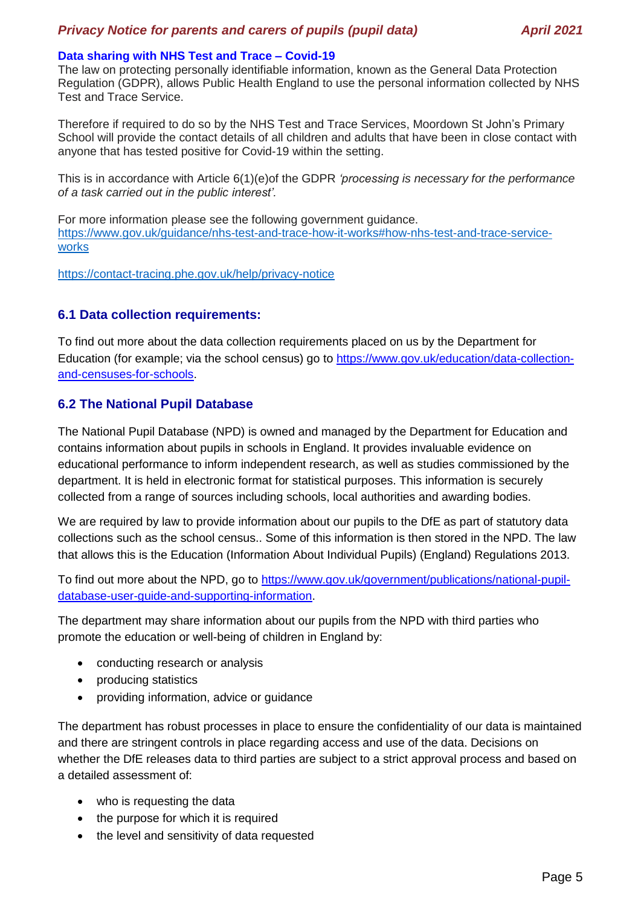#### **Data sharing with NHS Test and Trace – Covid-19**

The law on protecting personally identifiable information, known as the General Data Protection Regulation (GDPR), allows Public Health England to use the personal information collected by NHS Test and Trace Service.

Therefore if required to do so by the NHS Test and Trace Services, Moordown St John's Primary School will provide the contact details of all children and adults that have been in close contact with anyone that has tested positive for Covid-19 within the setting.

This is in accordance with Article 6(1)(e)of the GDPR *'processing is necessary for the performance of a task carried out in the public interest'.*

For more information please see the following government guidance. [https://www.gov.uk/guidance/nhs-test-and-trace-how-it-works#how-nhs-test-and-trace-service](https://www.gov.uk/guidance/nhs-test-and-trace-how-it-works#how-nhs-test-and-trace-service-works)[works](https://www.gov.uk/guidance/nhs-test-and-trace-how-it-works#how-nhs-test-and-trace-service-works)

<https://contact-tracing.phe.gov.uk/help/privacy-notice>

#### **6.1 Data collection requirements:**

To find out more about the data collection requirements placed on us by the Department for Education (for example; via the school census) go to [https://www.gov.uk/education/data-collection](https://www.gov.uk/education/data-collection-and-censuses-for-schools)[and-censuses-for-schools.](https://www.gov.uk/education/data-collection-and-censuses-for-schools)

#### **6.2 The National Pupil Database**

The National Pupil Database (NPD) is owned and managed by the Department for Education and contains information about pupils in schools in England. It provides invaluable evidence on educational performance to inform independent research, as well as studies commissioned by the department. It is held in electronic format for statistical purposes. This information is securely collected from a range of sources including schools, local authorities and awarding bodies.

We are required by law to provide information about our pupils to the DfE as part of statutory data collections such as the school census.. Some of this information is then stored in the NPD. The law that allows this is the Education (Information About Individual Pupils) (England) Regulations 2013.

To find out more about the NPD, go to [https://www.gov.uk/government/publications/national-pupil](https://www.gov.uk/government/publications/national-pupil-database-user-guide-and-supporting-information)[database-user-guide-and-supporting-information.](https://www.gov.uk/government/publications/national-pupil-database-user-guide-and-supporting-information)

The department may share information about our pupils from the NPD with third parties who promote the education or well-being of children in England by:

- conducting research or analysis
- producing statistics
- providing information, advice or guidance

The department has robust processes in place to ensure the confidentiality of our data is maintained and there are stringent controls in place regarding access and use of the data. Decisions on whether the DfE releases data to third parties are subject to a strict approval process and based on a detailed assessment of:

- who is requesting the data
- the purpose for which it is required
- the level and sensitivity of data requested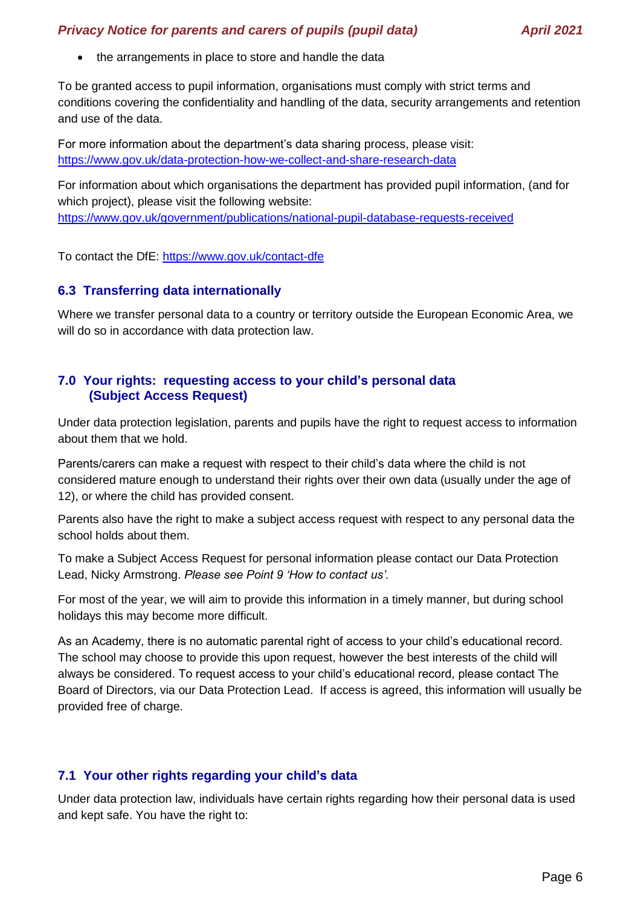• the arrangements in place to store and handle the data

To be granted access to pupil information, organisations must comply with strict terms and conditions covering the confidentiality and handling of the data, security arrangements and retention and use of the data.

For more information about the department's data sharing process, please visit: <https://www.gov.uk/data-protection-how-we-collect-and-share-research-data>

For information about which organisations the department has provided pupil information, (and for which project), please visit the following website: <https://www.gov.uk/government/publications/national-pupil-database-requests-received>

To contact the DfE:<https://www.gov.uk/contact-dfe>

## **6.3 Transferring data internationally**

Where we transfer personal data to a country or territory outside the European Economic Area, we will do so in accordance with data protection law.

## **7.0 Your rights: requesting access to your child's personal data (Subject Access Request)**

Under data protection legislation, parents and pupils have the right to request access to information about them that we hold.

Parents/carers can make a request with respect to their child's data where the child is not considered mature enough to understand their rights over their own data (usually under the age of 12), or where the child has provided consent.

Parents also have the right to make a subject access request with respect to any personal data the school holds about them.

To make a Subject Access Request for personal information please contact our Data Protection Lead, Nicky Armstrong. *Please see Point 9 'How to contact us'.*

For most of the year, we will aim to provide this information in a timely manner, but during school holidays this may become more difficult.

As an Academy, there is no automatic parental right of access to your child's educational record. The school may choose to provide this upon request, however the best interests of the child will always be considered. To request access to your child's educational record, please contact The Board of Directors, via our Data Protection Lead. If access is agreed, this information will usually be provided free of charge.

## **7.1 Your other rights regarding your child's data**

Under data protection law, individuals have certain rights regarding how their personal data is used and kept safe. You have the right to: